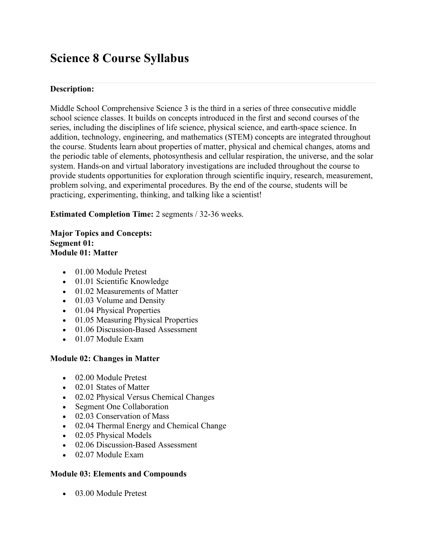# **Science 8 Course Syllabus**

# **Description:**

Middle School Comprehensive Science 3 is the third in a series of three consecutive middle school science classes. It builds on concepts introduced in the first and second courses of the series, including the disciplines of life science, physical science, and earth-space science. In addition, technology, engineering, and mathematics (STEM) concepts are integrated throughout the course. Students learn about properties of matter, physical and chemical changes, atoms and the periodic table of elements, photosynthesis and cellular respiration, the universe, and the solar system. Hands-on and virtual laboratory investigations are included throughout the course to provide students opportunities for exploration through scientific inquiry, research, measurement, problem solving, and experimental procedures. By the end of the course, students will be practicing, experimenting, thinking, and talking like a scientist!

**Estimated Completion Time:** 2 segments / 32-36 weeks.

# **Major Topics and Concepts: Segment 01: Module 01: Matter**

- 01.00 Module Pretest
- 01.01 Scientific Knowledge
- 01.02 Measurements of Matter
- 01.03 Volume and Density
- 01.04 Physical Properties
- 01.05 Measuring Physical Properties
- 01.06 Discussion-Based Assessment
- 01.07 Module Exam

# **Module 02: Changes in Matter**

- 02.00 Module Pretest
- 02.01 States of Matter
- 02.02 Physical Versus Chemical Changes
- Segment One Collaboration
- 02.03 Conservation of Mass
- 02.04 Thermal Energy and Chemical Change
- 02.05 Physical Models
- 02.06 Discussion-Based Assessment
- 02.07 Module Exam

# **Module 03: Elements and Compounds**

• 03.00 Module Pretest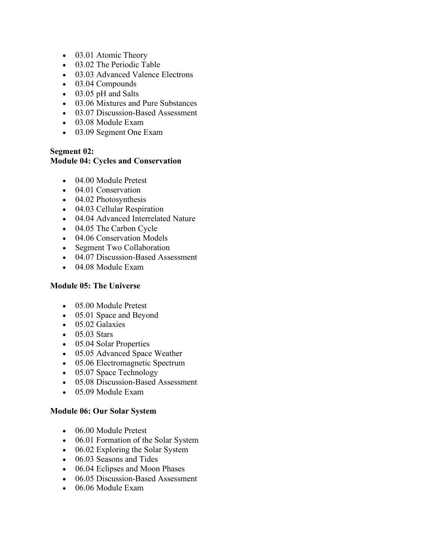- 03.01 Atomic Theory
- 03.02 The Periodic Table
- 03.03 Advanced Valence Electrons
- 03.04 Compounds
- 03.05 pH and Salts
- 03.06 Mixtures and Pure Substances
- 03.07 Discussion-Based Assessment
- 03.08 Module Exam
- 03.09 Segment One Exam

# **Segment 02:**

# **Module 04: Cycles and Conservation**

- 04.00 Module Pretest
- 04.01 Conservation
- 04.02 Photosynthesis
- 04.03 Cellular Respiration
- 04.04 Advanced Interrelated Nature
- 04.05 The Carbon Cycle
- 04.06 Conservation Models
- Segment Two Collaboration
- 04.07 Discussion-Based Assessment
- 04.08 Module Exam

### **Module 05: The Universe**

- 05.00 Module Pretest
- 05.01 Space and Beyond
- 05.02 Galaxies
- 05.03 Stars
- 05.04 Solar Properties
- 05.05 Advanced Space Weather
- 05.06 Electromagnetic Spectrum
- 05.07 Space Technology
- 05.08 Discussion-Based Assessment
- 05.09 Module Exam

### **Module 06: Our Solar System**

- 06.00 Module Pretest
- 06.01 Formation of the Solar System
- 06.02 Exploring the Solar System
- 06.03 Seasons and Tides
- 06.04 Eclipses and Moon Phases
- 06.05 Discussion-Based Assessment
- 06.06 Module Exam